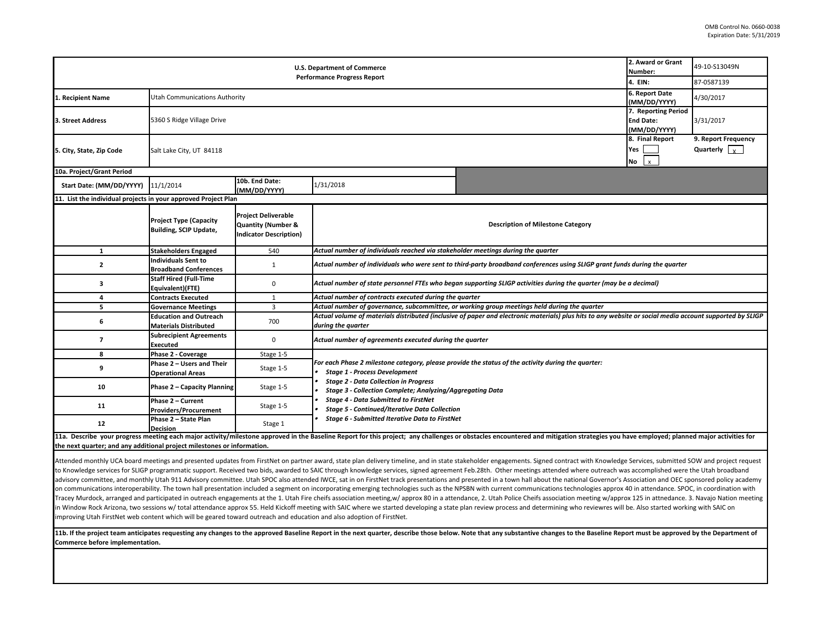| <b>U.S. Department of Commerce</b>                                      |                                                                |                                                                                              |                                                                                                                                                                                                                                                         |                                                                                                                                                                                                                                | 2. Award or Grant<br>Number:                            | 49-10-S13049N                               |  |  |  |
|-------------------------------------------------------------------------|----------------------------------------------------------------|----------------------------------------------------------------------------------------------|---------------------------------------------------------------------------------------------------------------------------------------------------------------------------------------------------------------------------------------------------------|--------------------------------------------------------------------------------------------------------------------------------------------------------------------------------------------------------------------------------|---------------------------------------------------------|---------------------------------------------|--|--|--|
| <b>Performance Progress Report</b>                                      |                                                                |                                                                                              |                                                                                                                                                                                                                                                         |                                                                                                                                                                                                                                |                                                         | 87-0587139                                  |  |  |  |
| 1. Recipient Name                                                       | <b>Utah Communications Authority</b>                           |                                                                                              |                                                                                                                                                                                                                                                         |                                                                                                                                                                                                                                | 6. Report Date<br>(MM/DD/YYYY)                          | 4/30/2017                                   |  |  |  |
| 3. Street Address                                                       | 5360 S Ridge Village Drive                                     |                                                                                              |                                                                                                                                                                                                                                                         |                                                                                                                                                                                                                                | 7. Reporting Period<br><b>End Date:</b><br>(MM/DD/YYYY) | 3/31/2017                                   |  |  |  |
| 5. City, State, Zip Code                                                | Salt Lake City, UT 84118                                       |                                                                                              |                                                                                                                                                                                                                                                         |                                                                                                                                                                                                                                | 8. Final Report<br>Yes<br>No<br>$\mathbf{x}$            | 9. Report Frequency<br>Quarterly $\sqrt{x}$ |  |  |  |
| 10a. Project/Grant Period                                               |                                                                |                                                                                              |                                                                                                                                                                                                                                                         |                                                                                                                                                                                                                                |                                                         |                                             |  |  |  |
| Start Date: (MM/DD/YYYY) 11/1/2014                                      |                                                                | 10b. End Date:<br>(MM/DD/YYYY)                                                               | 1/31/2018                                                                                                                                                                                                                                               |                                                                                                                                                                                                                                |                                                         |                                             |  |  |  |
| 11. List the individual projects in your approved Project Plan          |                                                                |                                                                                              |                                                                                                                                                                                                                                                         |                                                                                                                                                                                                                                |                                                         |                                             |  |  |  |
|                                                                         | <b>Project Type (Capacity</b><br><b>Building, SCIP Update,</b> | <b>Project Deliverable</b><br><b>Quantity (Number &amp;</b><br><b>Indicator Description)</b> |                                                                                                                                                                                                                                                         | <b>Description of Milestone Category</b>                                                                                                                                                                                       |                                                         |                                             |  |  |  |
| $\mathbf{1}$                                                            | <b>Stakeholders Engaged</b>                                    | 540                                                                                          | Actual number of individuals reached via stakeholder meetings during the quarter                                                                                                                                                                        |                                                                                                                                                                                                                                |                                                         |                                             |  |  |  |
| $\mathbf{2}$                                                            | <b>Individuals Sent to</b><br><b>Broadband Conferences</b>     | $\mathbf{1}$                                                                                 | Actual number of individuals who were sent to third-party broadband conferences using SLIGP grant funds during the quarter                                                                                                                              |                                                                                                                                                                                                                                |                                                         |                                             |  |  |  |
| з                                                                       | <b>Staff Hired (Full-Time</b><br>Equivalent)(FTE)              | 0                                                                                            | Actual number of state personnel FTEs who began supporting SLIGP activities during the quarter (may be a decimal)                                                                                                                                       |                                                                                                                                                                                                                                |                                                         |                                             |  |  |  |
| 4                                                                       | <b>Contracts Executed</b>                                      | $\mathbf{1}$                                                                                 | Actual number of contracts executed during the quarter                                                                                                                                                                                                  |                                                                                                                                                                                                                                |                                                         |                                             |  |  |  |
| 5                                                                       | <b>Governance Meetings</b>                                     | $\overline{3}$                                                                               | Actual number of governance, subcommittee, or working group meetings held during the quarter                                                                                                                                                            |                                                                                                                                                                                                                                |                                                         |                                             |  |  |  |
| 6                                                                       | <b>Education and Outreach</b><br><b>Materials Distributed</b>  | 700                                                                                          | Actual volume of materials distributed (inclusive of paper and electronic materials) plus hits to any website or social media account supported by SLIGP<br>during the quarter                                                                          |                                                                                                                                                                                                                                |                                                         |                                             |  |  |  |
| $\overline{\phantom{a}}$                                                | <b>Subrecipient Agreements</b><br><b>Executed</b>              | 0                                                                                            | Actual number of agreements executed during the quarter                                                                                                                                                                                                 |                                                                                                                                                                                                                                |                                                         |                                             |  |  |  |
| 8                                                                       | Phase 2 - Coverage                                             | Stage 1-5                                                                                    |                                                                                                                                                                                                                                                         |                                                                                                                                                                                                                                |                                                         |                                             |  |  |  |
| 9                                                                       | Phase 2 - Users and Their<br><b>Operational Areas</b>          | Stage 1-5                                                                                    | For each Phase 2 milestone category, please provide the status of the activity during the quarter:<br><b>Stage 1 - Process Development</b><br><b>Stage 2 - Data Collection in Progress</b><br>Stage 3 - Collection Complete; Analyzing/Aggregating Data |                                                                                                                                                                                                                                |                                                         |                                             |  |  |  |
| 10                                                                      | Phase 2 - Capacity Planning                                    | Stage 1-5                                                                                    |                                                                                                                                                                                                                                                         |                                                                                                                                                                                                                                |                                                         |                                             |  |  |  |
| 11                                                                      | Phase 2 - Current<br><b>Providers/Procurement</b>              | Stage 1-5                                                                                    | <b>Stage 4 - Data Submitted to FirstNet</b><br><b>Stage 5 - Continued/Iterative Data Collection</b>                                                                                                                                                     |                                                                                                                                                                                                                                |                                                         |                                             |  |  |  |
| 12                                                                      | Phase 2 - State Plan<br><b>Decision</b>                        | Stage 1                                                                                      | Stage 6 - Submitted Iterative Data to FirstNet                                                                                                                                                                                                          |                                                                                                                                                                                                                                |                                                         |                                             |  |  |  |
| the next quarter; and any additional project milestones or information. |                                                                |                                                                                              |                                                                                                                                                                                                                                                         | 11a. Describe your progress meeting each major activity/milestone approved in the Baseline Report for this project; any challenges or obstacles encountered and mitigation strategies you have employed; planned major activit |                                                         |                                             |  |  |  |

Attended monthly UCA board meetings and presented updates from FirstNet on partner award, state plan delivery timeline, and in state stakeholder engagements. Signed contract with Knowledge Services, submitted SOW and proje to Knowledge services for SLIGP programmatic support. Received two bids, awarded to SAIC through knowledge services, signed agreement Feb.28th. Other meetings attended where outreach was accomplished were the Utah broadband advisory committee, and monthly Utah 911 Advisory committee. Utah SPOC also attended IWCE, sat in on FirstNet track presentations and presented in a town hall about the national Governor's Association and OEC sponsored pol on communications interoperability. The town hall presentation included a segment on incorporating emerging technologies such as the NPSBN with current communications technologies approx 40 in attendance. SPOC, in coordina Tracey Murdock, arranged and participated in outreach engagements at the 1. Utah Fire cheifs association meeting,w/ approx 80 in a attendance, 2. Utah Police Cheifs association meeting w/approx 125 in attnedance. 3. Navajo in Window Rock Arizona, two sessions w/ total attendance approx 55. Held Kickoff meeting with SAIC where we started developing a state plan review process and determining who reviewres will be. Also started working with SA improving Utah FirstNet web content which will be geared toward outreach and education and also adoption of FirstNet.

Improving Otan Firstnet web content which will be geared toward outreach and education and also adoption or Firstnet.<br>11b. If the project team anticipates requesting any changes to the approved Baseline Report in the next **Commerce before implementation.**  Commerce before implementation.<br>
Sommerce before implementation.

I'-- J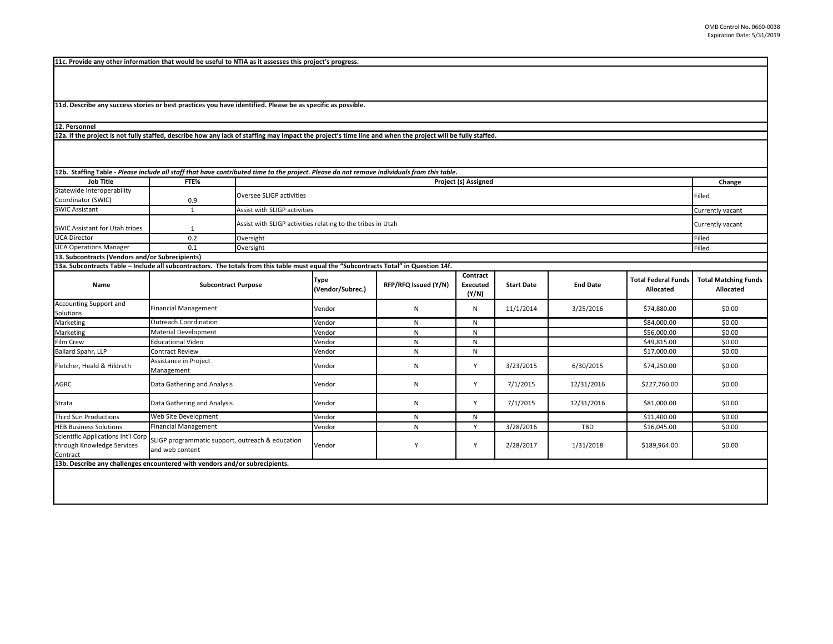**11c. Provide any other information that would be useful to NTIA as it assesses this project's progress.** 

**11d. Describe any success stories or best practices you have identified. Please be as specific as possible.**

**12. Personnel** 

**12a. If the project is not fully staffed, describe how any lack of staffing may impact the project's time line and when the project will be fully staffed.**

| 12b. Staffing Table - Please include all staff that have contributed time to the project. Please do not remove individuals from this table. |                                                                                                        |                                                             |                                 |                      |                               |                   |                 |                                         |                                          |
|---------------------------------------------------------------------------------------------------------------------------------------------|--------------------------------------------------------------------------------------------------------|-------------------------------------------------------------|---------------------------------|----------------------|-------------------------------|-------------------|-----------------|-----------------------------------------|------------------------------------------|
| <b>Job Title</b>                                                                                                                            | FTE%                                                                                                   |                                                             | Project (s) Assigned            |                      |                               |                   |                 |                                         |                                          |
| Statewide Interoperability                                                                                                                  |                                                                                                        | Oversee SLIGP activities                                    |                                 |                      |                               |                   |                 |                                         |                                          |
| Coordinator (SWIC)                                                                                                                          | 0.9                                                                                                    |                                                             |                                 |                      |                               |                   |                 |                                         |                                          |
| <b>SWIC Assistant</b>                                                                                                                       | 1                                                                                                      |                                                             | Assist with SLIGP activities    |                      |                               |                   |                 |                                         |                                          |
| SWIC Assistant for Utah tribes                                                                                                              | $\mathbf{1}$                                                                                           | Assist with SLIGP activities relating to the tribes in Utah | Currently vacant                |                      |                               |                   |                 |                                         |                                          |
| <b>UCA Director</b>                                                                                                                         | 0.2                                                                                                    | Oversight                                                   |                                 |                      |                               |                   |                 |                                         | Filled                                   |
| <b>UCA Operations Manager</b>                                                                                                               | 0.1                                                                                                    | Oversight                                                   |                                 |                      |                               |                   |                 |                                         |                                          |
| 13. Subcontracts (Vendors and/or Subrecipients)                                                                                             |                                                                                                        |                                                             |                                 |                      |                               |                   |                 |                                         |                                          |
| 13a. Subcontracts Table - Include all subcontractors. The totals from this table must equal the "Subcontracts Total" in Question 14f.       |                                                                                                        |                                                             |                                 |                      |                               |                   |                 |                                         |                                          |
| Name                                                                                                                                        | <b>Subcontract Purpose</b>                                                                             |                                                             | <b>Type</b><br>(Vendor/Subrec.) | RFP/RFQ Issued (Y/N) | Contract<br>Executed<br>(Y/N) | <b>Start Date</b> | <b>End Date</b> | <b>Total Federal Funds</b><br>Allocated | <b>Total Matching Funds</b><br>Allocated |
| Accounting Support and<br>Solutions                                                                                                         | <b>Financial Management</b>                                                                            |                                                             | Vendor                          | N                    | N                             | 11/1/2014         | 3/25/2016       | \$74,880.00                             | \$0.00                                   |
| Marketing                                                                                                                                   | <b>Outreach Coordination</b>                                                                           |                                                             | Vendor                          | N                    | N                             |                   |                 | \$84,000.00                             | \$0.00                                   |
| Marketing                                                                                                                                   | <b>Material Development</b>                                                                            |                                                             | Vendor                          | N                    | N                             |                   |                 | \$56,000.00                             | \$0.00                                   |
| Film Crew                                                                                                                                   | <b>Educational Video</b>                                                                               |                                                             | Vendor                          | N                    | N                             |                   |                 | \$49,815.00                             | \$0.00                                   |
| Ballard Spahr, LLP                                                                                                                          | <b>Contract Review</b>                                                                                 |                                                             | Vendor                          | N                    | N                             |                   |                 | \$17,000.00                             | \$0.00                                   |
| Fletcher, Heald & Hildreth                                                                                                                  | Assistance in Project<br>Management                                                                    |                                                             | Vendor                          | N                    | Y                             | 3/23/2015         | 6/30/2015       | \$74,250.00                             | \$0.00                                   |
| AGRC                                                                                                                                        | Data Gathering and Analysis                                                                            |                                                             | Vendor                          | N                    | Y                             | 7/1/2015          | 12/31/2016      | \$227,760.00                            | \$0.00                                   |
| Strata                                                                                                                                      | Data Gathering and Analysis                                                                            |                                                             | Vendor                          | N                    | Y                             | 7/1/2015          | 12/31/2016      | \$81,000.00                             | \$0.00                                   |
| <b>Third Sun Productions</b>                                                                                                                | Web Site Development                                                                                   |                                                             | Vendor                          | N                    | N                             |                   |                 | \$11,400.00                             | \$0.00                                   |
| <b>HEB Business Solutions</b>                                                                                                               | <b>Financial Management</b>                                                                            |                                                             | Vendor                          | N                    | Y                             | 3/28/2016         | <b>TBD</b>      | \$16,045.00                             | \$0.00                                   |
| through Knowledge Services<br>Contract                                                                                                      | Scientific Applications Int'l Corp SLIGP programmatic support, outreach & education<br>and web content |                                                             | Vendor                          | Υ                    | Y                             | 2/28/2017         | 1/31/2018       | \$189,964.00                            | \$0.00                                   |
| 13b. Describe any challenges encountered with vendors and/or subrecipients.                                                                 |                                                                                                        |                                                             |                                 |                      |                               |                   |                 |                                         |                                          |
|                                                                                                                                             |                                                                                                        |                                                             |                                 |                      |                               |                   |                 |                                         |                                          |